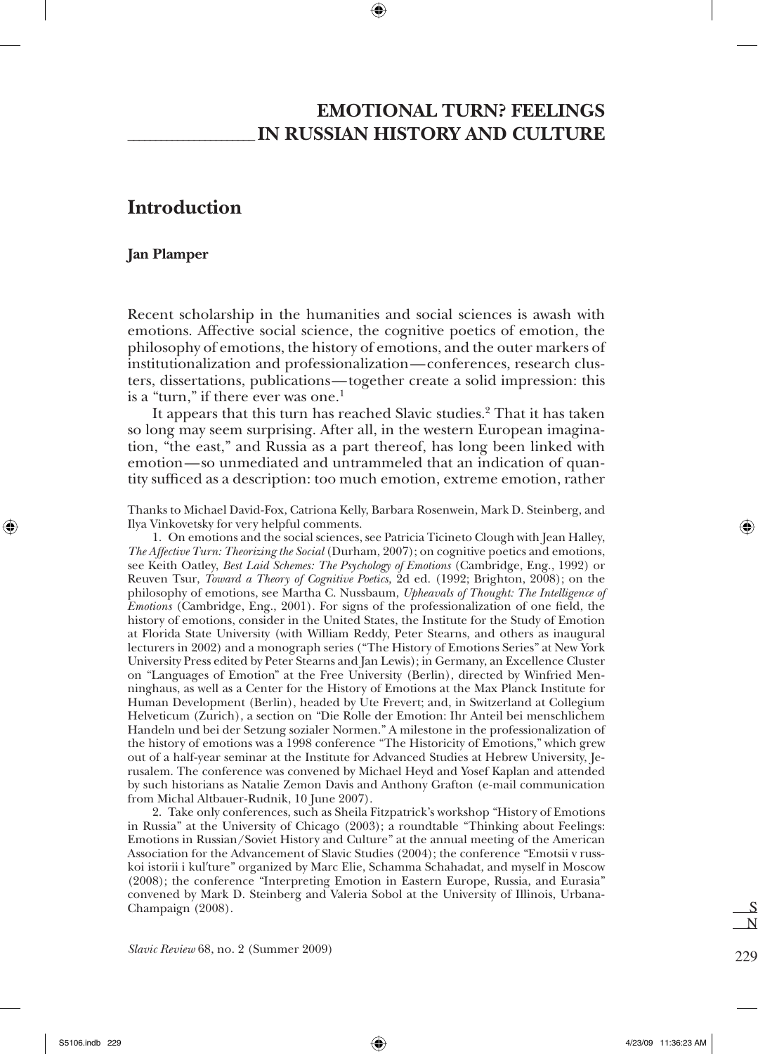## EMOTIONAL TURN? FEELINGS IN RUSSIAN HISTORY AND CULTURE

⊕

## Introduction

## Jan Plamper

Recent scholarship in the humanities and social sciences is awash with emotions. Affective social science, the cognitive poetics of emotion, the philosophy of emotions, the history of emotions, and the outer markers of institutionalization and professionalization—conferences, research clusters, dissertations, publications—together create a solid impression: this is a "turn," if there ever was one.<sup>1</sup>

It appears that this turn has reached Slavic studies.<sup>2</sup> That it has taken so long may seem surprising. After all, in the western European imagination, "the east," and Russia as a part thereof, has long been linked with emotion—so unmediated and untrammeled that an indication of quantity sufficed as a description: too much emotion, extreme emotion, rather

Thanks to Michael David-Fox, Catriona Kelly, Barbara Rosenwein, Mark D. Steinberg, and Ilya Vinkovetsky for very helpful comments.

1. On emotions and the social sciences, see Patricia Ticineto Clough with Jean Halley, *The Affective Turn: Theorizing the Social* (Durham, 2007); on cognitive poetics and emotions, see Keith Oatley, *Best Laid Schemes: The Psychology of Emotions* (Cambridge, Eng., 1992) or Reuven Tsur, *Toward a Theory of Cognitive Poetics,* 2d ed. (1992; Brighton, 2008); on the philosophy of emotions, see Martha C. Nussbaum, *Upheavals of Thought: The Intelligence of Emotions* (Cambridge, Eng., 2001). For signs of the professionalization of one field, the history of emotions, consider in the United States, the Institute for the Study of Emotion at Florida State University (with William Reddy, Peter Stearns, and others as inaugural lecturers in 2002) and a monograph series ("The History of Emotions Series" at New York University Press edited by Peter Stearns and Jan Lewis); in Germany, an Excellence Cluster on "Languages of Emotion" at the Free University (Berlin), directed by Winfried Menninghaus, as well as a Center for the History of Emotions at the Max Planck Institute for Human Development (Berlin), headed by Ute Frevert; and, in Switzerland at Collegium Helveticum (Zurich), a section on "Die Rolle der Emotion: Ihr Anteil bei menschlichem Handeln und bei der Setzung sozialer Normen." A milestone in the professionalization of the history of emotions was a 1998 conference "The Historicity of Emotions," which grew out of a half-year seminar at the Institute for Advanced Studies at Hebrew University, Jerusalem. The conference was convened by Michael Heyd and Yosef Kaplan and attended by such historians as Natalie Zemon Davis and Anthony Grafton (e-mail communication from Michal Altbauer-Rudnik, 10 June 2007).

2. Take only conferences, such as Sheila Fitzpatrick's workshop "History of Emotions in Russia" at the University of Chicago (2003); a roundtable "Thinking about Feelings: Emotions in Russian/Soviet History and Culture" at the annual meeting of the American Association for the Advancement of Slavic Studies (2004); the conference "Emotsii v russkoi istorii i kul'ture" organized by Marc Elie, Schamma Schahadat, and myself in Moscow (2008); the conference "Interpreting Emotion in Eastern Europe, Russia, and Eurasia" convened by Mark D. Steinberg and Valeria Sobol at the University of Illinois, Urbana-Champaign (2008).

*Slavic Review* 68, no. 2 (Summer 2009)

S N 229

⊕

⊕

 $\longleftrightarrow$  55106.indb 229 4/23/09 11:36:23 AM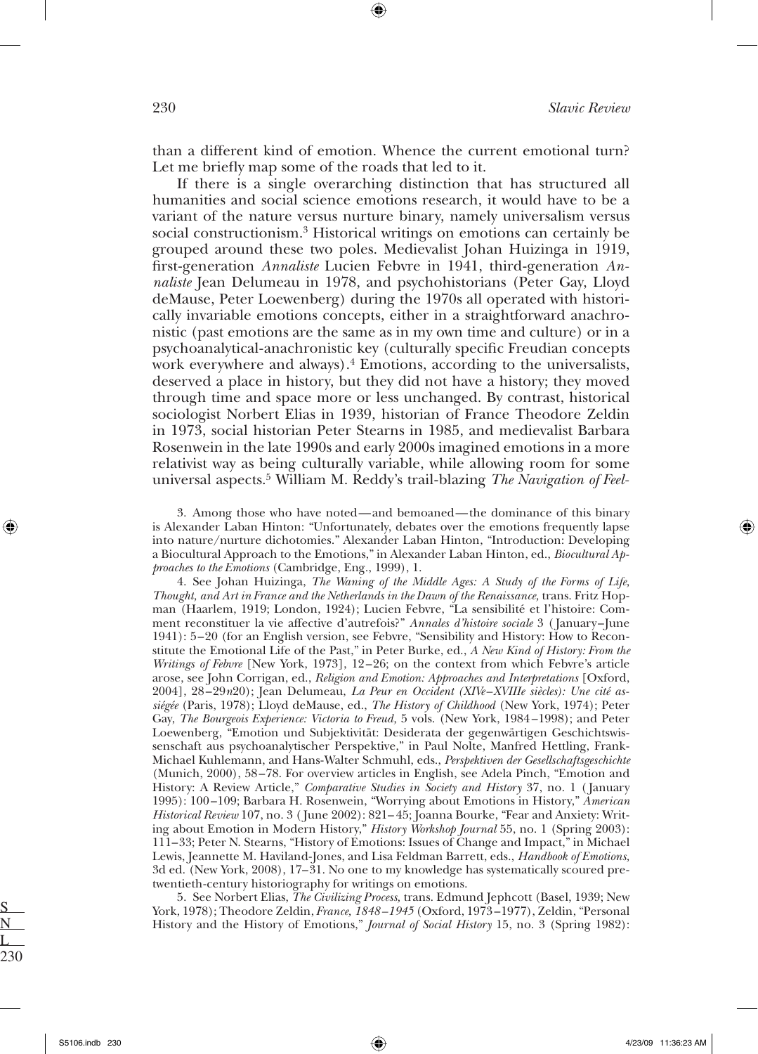than a different kind of emotion. Whence the current emotional turn? Let me briefly map some of the roads that led to it.

⊕

If there is a single overarching distinction that has structured all humanities and social science emotions research, it would have to be a variant of the nature versus nurture binary, namely universalism versus social constructionism.3 Historical writings on emotions can certainly be grouped around these two poles. Medievalist Johan Huizinga in 1919, first-generation *Annaliste* Lucien Febvre in 1941, third-generation *Annaliste* Jean Delumeau in 1978, and psychohistorians (Peter Gay, Lloyd deMause, Peter Loewenberg) during the 1970s all operated with historically invariable emotions concepts, either in a straightforward anachronistic (past emotions are the same as in my own time and culture) or in a psychoanalytical-anachronistic key (culturally specific Freudian concepts work everywhere and always).<sup>4</sup> Emotions, according to the universalists, deserved a place in history, but they did not have a history; they moved through time and space more or less unchanged. By contrast, historical sociologist Norbert Elias in 1939, historian of France Theodore Zeldin in 1973, social historian Peter Stearns in 1985, and medievalist Barbara Rosenwein in the late 1990s and early 2000s imagined emotions in a more relativist way as being culturally variable, while allowing room for some universal aspects.5 William M. Reddy's trail-blazing *The Navigation of Feel-*

3. Among those who have noted—and bemoaned—the dominance of this binary is Alexander Laban Hinton: "Unfortunately, debates over the emotions frequently lapse into nature/nurture dichotomies." Alexander Laban Hinton, "Introduction: Developing a Biocultural Approach to the Emotions," in Alexander Laban Hinton, ed., *Biocultural Approaches to the Emotions* (Cambridge, Eng., 1999), 1.

4. See Johan Huizinga, *The Waning of the Middle Ages: A Study of the Forms of Life, Thought, and Art in France and the Netherlands in the Dawn of the Renaissance,* trans. Fritz Hopman (Haarlem, 1919; London, 1924); Lucien Febvre, "La sensibilité et l'histoire: Comment reconstituer la vie affective d'autrefois?" *Annales d'histoire sociale* 3 ( January–June 1941): 5–20 (for an English version, see Febvre, "Sensibility and History: How to Reconstitute the Emotional Life of the Past," in Peter Burke, ed., *A New Kind of History: From the Writings of Febvre* [New York, 1973], 12–26; on the context from which Febvre's article arose, see John Corrigan, ed., *Religion and Emotion: Approaches and Interpretations* [Oxford, 2004], 28–29*n*20); Jean Delumeau, *La Peur en Occident (XIVe–XVIIIe siècles): Une cité assiégée* (Paris, 1978); Lloyd deMause, ed., *The History of Childhood* (New York, 1974); Peter Gay, *The Bourgeois Experience: Victoria to Freud,* 5 vols. (New York, 1984 –1998); and Peter Loewenberg, "Emotion und Subjektivität: Desiderata der gegenwärtigen Geschichtswissenschaft aus psychoanalytischer Perspektive," in Paul Nolte, Manfred Hettling, Frank-Michael Kuhlemann, and Hans-Walter Schmuhl, eds., *Perspektiven der Gesellschaftsgeschichte* (Munich, 2000), 58–78. For overview articles in English, see Adela Pinch, "Emotion and History: A Review Article," *Comparative Studies in Society and History* 37, no. 1 ( January 1995): 100–109; Barbara H. Rosenwein, "Worrying about Emotions in History," *American Historical Review* 107, no. 3 ( June 2002): 821– 45; Joanna Bourke, "Fear and Anxiety: Writing about Emotion in Modern History," *History Workshop Journal* 55, no. 1 (Spring 2003): 111–33; Peter N. Stearns, "History of Emotions: Issues of Change and Impact," in Michael Lewis, Jeannette M. Haviland-Jones, and Lisa Feldman Barrett, eds., *Handbook of Emotions,* 3d ed. (New York, 2008), 17–31. No one to my knowledge has systematically scoured pretwentieth-century historiography for writings on emotions.

5. See Norbert Elias, *The Civilizing Process,* trans. Edmund Jephcott (Basel, 1939; New York, 1978); Theodore Zeldin, *France, 1848–1945* (Oxford, 1973 –1977), Zeldin, "Personal History and the History of Emotions," *Journal of Social History* 15, no. 3 (Spring 1982):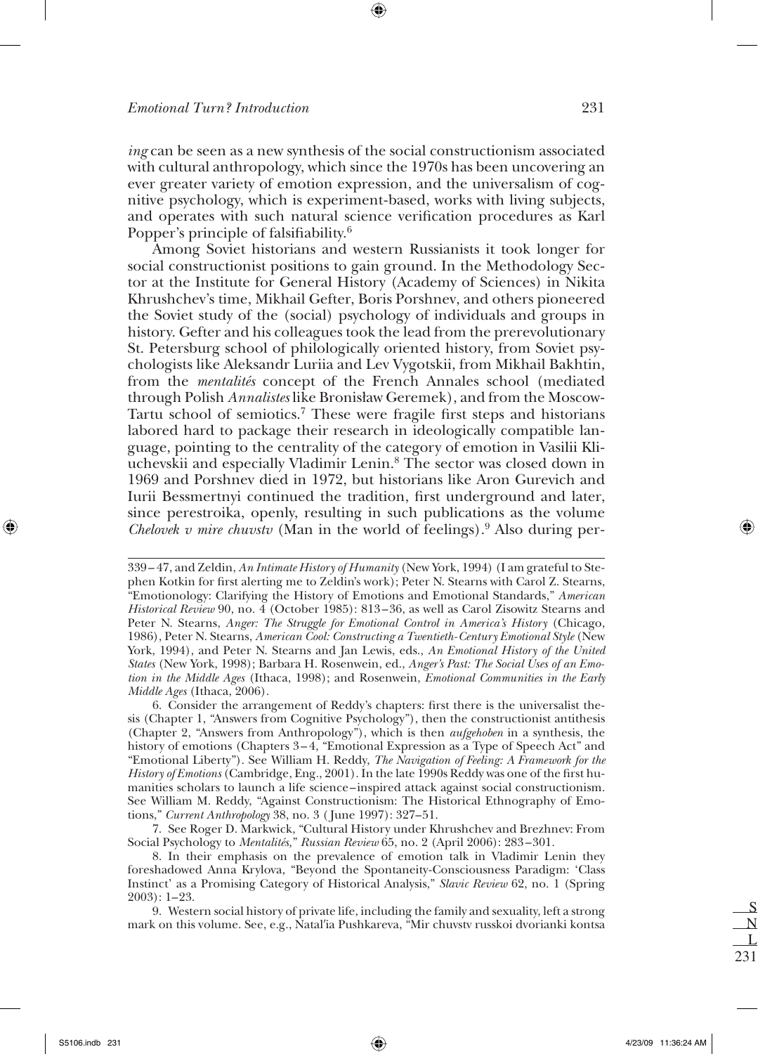*ing* can be seen as a new synthesis of the social constructionism associated with cultural anthropology, which since the 1970s has been uncovering an ever greater variety of emotion expression, and the universalism of cognitive psychology, which is experiment-based, works with living subjects, and operates with such natural science verification procedures as Karl Popper's principle of falsifiability. $6$ 

⊕

Among Soviet historians and western Russianists it took longer for social constructionist positions to gain ground. In the Methodology Sector at the Institute for General History (Academy of Sciences) in Nikita Khrushchev's time, Mikhail Gefter, Boris Porshnev, and others pioneered the Soviet study of the (social) psychology of individuals and groups in history. Gefter and his colleagues took the lead from the prerevolutionary St. Petersburg school of philologically oriented history, from Soviet psychologists like Aleksandr Luriia and Lev Vygotskii, from Mikhail Bakhtin, from the *mentalités* concept of the French Annales school (mediated through Polish *Annalistes* like Bronisław Geremek), and from the Moscow-Tartu school of semiotics.<sup>7</sup> These were fragile first steps and historians labored hard to package their research in ideologically compatible language, pointing to the centrality of the category of emotion in Vasilii Kliuchevskii and especially Vladimir Lenin.8 The sector was closed down in 1969 and Porshnev died in 1972, but historians like Aron Gurevich and Iurii Bessmertnyi continued the tradition, first underground and later, since perestroika, openly, resulting in such publications as the volume *Chelovek v mire chuvstv* (Man in the world of feelings).<sup>9</sup> Also during per-

6. Consider the arrangement of Reddy's chapters: first there is the universalist thesis (Chapter 1, "Answers from Cognitive Psychology"), then the constructionist antithesis (Chapter 2, "Answers from Anthropology"), which is then *aufgehoben* in a synthesis, the history of emotions (Chapters 3–4, "Emotional Expression as a Type of Speech Act" and "Emotional Liberty"). See William H. Reddy, *The Navigation of Feeling: A Framework for the History of Emotions* (Cambridge, Eng., 2001). In the late 1990s Reddy was one of the first humanities scholars to launch a life science–inspired attack against social constructionism. See William M. Reddy, "Against Constructionism: The Historical Ethnography of Emotions," *Current Anthropology* 38, no. 3 ( June 1997): 327–51.

7. See Roger D. Markwick, "Cultural History under Khrushchev and Brezhnev: From Social Psychology to *Mentalités,*" *Russian Review* 65, no. 2 (April 2006): 283 –301.

8. In their emphasis on the prevalence of emotion talk in Vladimir Lenin they foreshadowed Anna Krylova, "Beyond the Spontaneity-Consciousness Paradigm: 'Class Instinct' as a Promising Category of Historical Analysis," *Slavic Review* 62, no. 1 (Spring 2003): 1–23.

9. Western social history of private life, including the family and sexuality, left a strong mark on this volume. See, e.g., Natal'ia Pushkareva, "Mir chuvstv russkoi dvorianki kontsa

N L 231

S

<sup>339– 47,</sup> and Zeldin, *An Intimate History of Humanity* (New York, 1994) (I am grateful to Stephen Kotkin for first alerting me to Zeldin's work); Peter N. Stearns with Carol Z. Stearns, "Emotionology: Clarifying the History of Emotions and Emotional Standards," *American Historical Review* 90, no. 4 (October 1985): 813 –36, as well as Carol Zisowitz Stearns and Peter N. Stearns, *Anger: The Struggle for Emotional Control in America's History* (Chicago, 1986), Peter N. Stearns, *American Cool: Constructing a Twentieth-Century Emotional Style* (New York, 1994), and Peter N. Stearns and Jan Lewis, eds., *An Emotional History of the United States* (New York, 1998); Barbara H. Rosenwein, ed., *Anger's Past: The Social Uses of an Emotion in the Middle Ages* (Ithaca, 1998); and Rosenwein, *Emotional Communities in the Early Middle Ages* (Ithaca, 2006).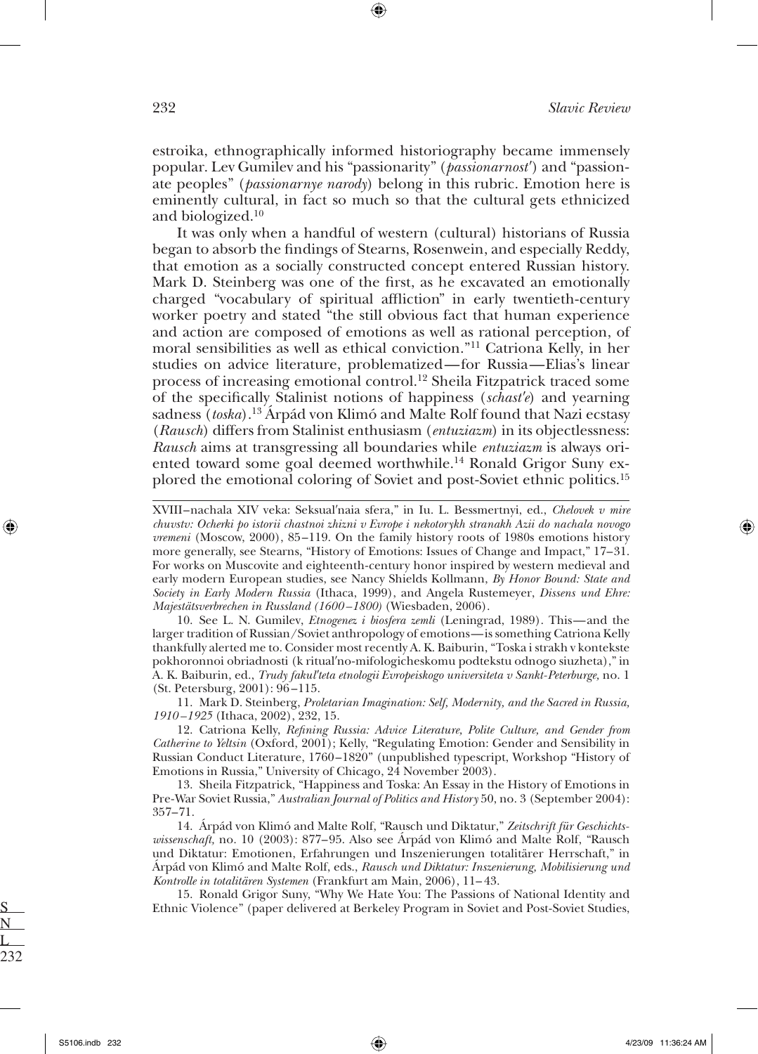estroika, ethnographically informed historiography became immensely popular. Lev Gumilev and his "passionarity" (passionarnost') and "passionate peoples" (*passionarnye narody*) belong in this rubric. Emotion here is eminently cultural, in fact so much so that the cultural gets ethnicized and biologized.10

⊕

It was only when a handful of western (cultural) historians of Russia began to absorb the findings of Stearns, Rosenwein, and especially Reddy, that emotion as a socially constructed concept entered Russian history. Mark D. Steinberg was one of the first, as he excavated an emotionally charged "vocabulary of spiritual affliction" in early twentieth-century worker poetry and stated "the still obvious fact that human experience and action are composed of emotions as well as rational perception, of moral sensibilities as well as ethical conviction." 11 Catriona Kelly, in her studies on advice literature, problematized—for Russia—Elias's linear process of increasing emotional control.12 Sheila Fitzpatrick traced some of the specifically Stalinist notions of happiness (schast'e) and yearning sadness (*toska*).13 Árpád von Klimó and Malte Rolf found that Nazi ecstasy (*Rausch*) differs from Stalinist enthusiasm (*entuziazm*) in its objectlessness: *Rausch* aims at transgressing all boundaries while *entuziazm* is always oriented toward some goal deemed worthwhile.<sup>14</sup> Ronald Grigor Suny explored the emotional coloring of Soviet and post-Soviet ethnic politics.15

10. See L. N. Gumilev, *Etnogenez i biosfera zemli* (Leningrad, 1989). This—and the larger tradition of Russian/Soviet anthropology of emotions—is something Catriona Kelly thankfully alerted me to. Consider most recently A. K. Baiburin, "Toska i strakh v kontekste pokhoronnoi obriadnosti (k ritual'no-mifologicheskomu podtekstu odnogo siuzheta)," in A. K. Baiburin, ed., *Trudy fakul*-*teta etnologii Evropeiskogo universiteta v Sankt-Peterburge,* no. 1 (St. Petersburg, 2001): 96 –115.

11. Mark D. Steinberg, *Proletarian Imagination: Self, Modernity, and the Sacred in Russia, 1910 –1925* (Ithaca, 2002), 232, 15.

12. Catriona Kelly, *Refining Russia: Advice Literature, Polite Culture, and Gender from Catherine to Yeltsin* (Oxford, 2001); Kelly, "Regulating Emotion: Gender and Sensibility in Russian Conduct Literature, 1760–1820" (unpublished typescript, Workshop "History of Emotions in Russia," University of Chicago, 24 November 2003).

13. Sheila Fitzpatrick, "Happiness and Toska: An Essay in the History of Emotions in Pre-War Soviet Russia," *Australian Journal of Politics and History* 50, no. 3 (September 2004): 357–71.

14. Árpád von Klimó and Malte Rolf, "Rausch und Diktatur," *Zeitschrift für Geschichtswissenschaft,* no. 10 (2003): 877–95. Also see Árpád von Klimó and Malte Rolf, "Rausch und Diktatur: Emotionen, Erfahrungen und Inszenierungen totalitärer Herrschaft," in Árpád von Klimó and Malte Rolf, eds., *Rausch und Diktatur: Inszenierung, Mobilisierung und Kontrolle in totalitären Systemen* (Frankfurt am Main, 2006), 11– 43.

15. Ronald Grigor Suny, "Why We Hate You: The Passions of National Identity and Ethnic Violence" (paper delivered at Berkeley Program in Soviet and Post-Soviet Studies,

S N L 232

XVIII-nachala XIV veka: Seksual'naia sfera," in Iu. L. Bessmertnyi, ed., *Chelovek v mire chuvstv: Ocherki po istorii chastnoi zhizni v Evrope i nekotorykh stranakh Azii do nachala novogo vremeni* (Moscow, 2000), 85–119. On the family history roots of 1980s emotions history more generally, see Stearns, "History of Emotions: Issues of Change and Impact," 17–31. For works on Muscovite and eighteenth-century honor inspired by western medieval and early modern European studies, see Nancy Shields Kollmann, *By Honor Bound: State and Society in Early Modern Russia* (Ithaca, 1999), and Angela Rustemeyer, *Dissens und Ehre: Majestätsverbrechen in Russland (1600 –1800)* (Wiesbaden, 2006).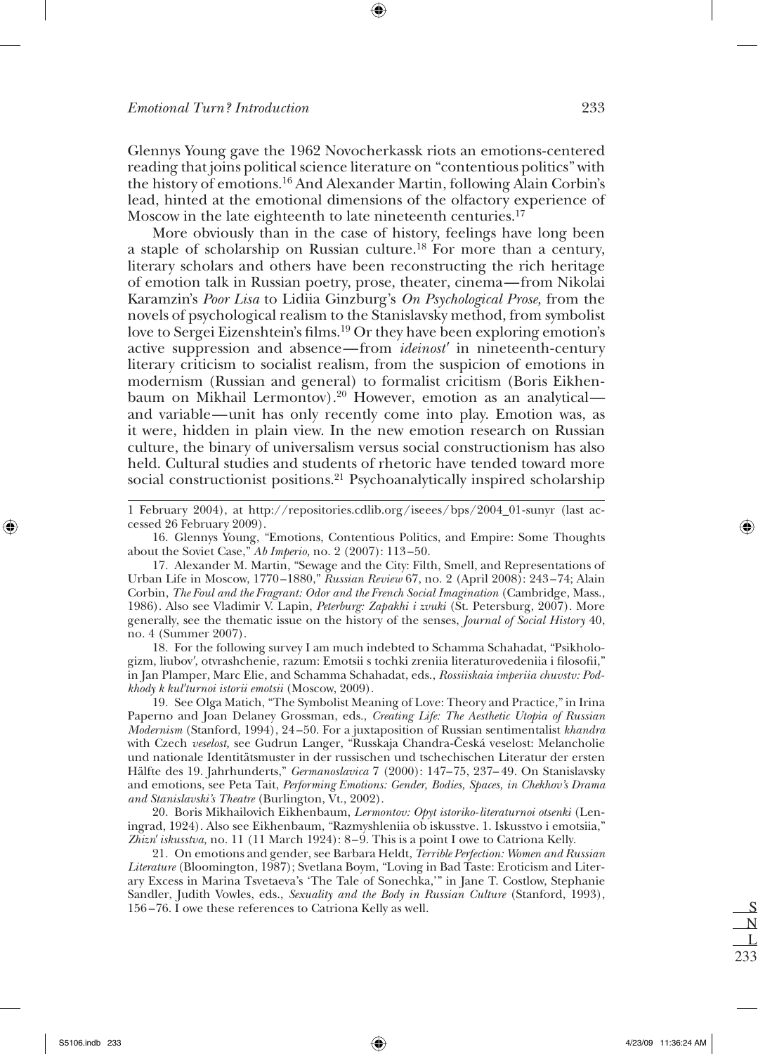Glennys Young gave the 1962 Novocherkassk riots an emotions-centered reading that joins political science literature on "contentious politics" with the history of emotions.16 And Alexander Martin, following Alain Corbin's lead, hinted at the emotional dimensions of the olfactory experience of Moscow in the late eighteenth to late nineteenth centuries.<sup>17</sup>

⊕

More obviously than in the case of history, feelings have long been a staple of scholarship on Russian culture.18 For more than a century, literary scholars and others have been reconstructing the rich heritage of emotion talk in Russian poetry, prose, theater, cinema—from Nikolai Karamzin's *Poor Lisa* to Lidiia Ginzburg's *On Psychological Prose,* from the novels of psychological realism to the Stanislavsky method, from symbolist love to Sergei Eizenshtein's films.<sup>19</sup> Or they have been exploring emotion's active suppression and absence—from *ideinost'* in nineteenth-century literary criticism to socialist realism, from the suspicion of emotions in modernism (Russian and general) to formalist cricitism (Boris Eikhenbaum on Mikhail Lermontov).<sup>20</sup> However, emotion as an analytical and variable—unit has only recently come into play. Emotion was, as it were, hidden in plain view. In the new emotion research on Russian culture, the binary of universalism versus social constructionism has also held. Cultural studies and students of rhetoric have tended toward more social constructionist positions.<sup>21</sup> Psychoanalytically inspired scholarship

1 February 2004), at http://repositories.cdlib.org/iseees/bps/2004\_01-sunyr (last accessed 26 February 2009).

16. Glennys Young, "Emotions, Contentious Politics, and Empire: Some Thoughts about the Soviet Case," *Ab Imperio,* no. 2 (2007): 113 –50.

17. Alexander M. Martin, "Sewage and the City: Filth, Smell, and Representations of Urban Life in Moscow, 1770–1880," *Russian Review* 67, no. 2 (April 2008): 243 –74; Alain Corbin, *The Foul and the Fragrant: Odor and the French Social Imagination* (Cambridge, Mass., 1986). Also see Vladimir V. Lapin, *Peterburg: Zapakhi i zvuki* (St. Petersburg, 2007). More generally, see the thematic issue on the history of the senses, *Journal of Social History* 40, no. 4 (Summer 2007).

18. For the following survey I am much indebted to Schamma Schahadat, "Psikhologizm, liubov', otvrashchenie, razum: Emotsii s tochki zreniia literaturovedeniia i filosofii," in Jan Plamper, Marc Elie, and Schamma Schahadat, eds., *Rossiiskaia imperiia chuvstv: Podkhody k kul*-*turnoi istorii emotsii* (Moscow, 2009).

19. See Olga Matich, "The Symbolist Meaning of Love: Theory and Practice," in Irina Paperno and Joan Delaney Grossman, eds., *Creating Life: The Aesthetic Utopia of Russian Modernism* (Stanford, 1994), 24 –50. For a juxtaposition of Russian sentimentalist *khandra* with Czech *veselost*, see Gudrun Langer, "Russkaja Chandra-Česká veselost: Melancholie und nationale Identitätsmuster in der russischen und tschechischen Literatur der ersten Hälfte des 19. Jahrhunderts," *Germanoslavica* 7 (2000): 147–75, 237– 49. On Stanislavsky and emotions, see Peta Tait, *Performing Emotions: Gender, Bodies, Spaces, in Chekhov's Drama and Stanislavski's Theatre* (Burlington, Vt., 2002).

20. Boris Mikhailovich Eikhenbaum, *Lermontov: Opyt istoriko-literaturnoi otsenki* (Leningrad, 1924). Also see Eikhenbaum, "Razmyshleniia ob iskusstve. 1. Iskusstvo i emotsiia," Zhizn' iskusstva, no. 11 (11 March 1924): 8-9. This is a point I owe to Catriona Kelly.

21. On emotions and gender, see Barbara Heldt, *Terrible Perfection: Women and Russian Literature* (Bloomington, 1987); Svetlana Boym, "Loving in Bad Taste: Eroticism and Literary Excess in Marina Tsvetaeva's 'The Tale of Sonechka,' " in Jane T. Costlow, Stephanie Sandler, Judith Vowles, eds., *Sexuality and the Body in Russian Culture* (Stanford, 1993), 156 –76. I owe these references to Catriona Kelly as well.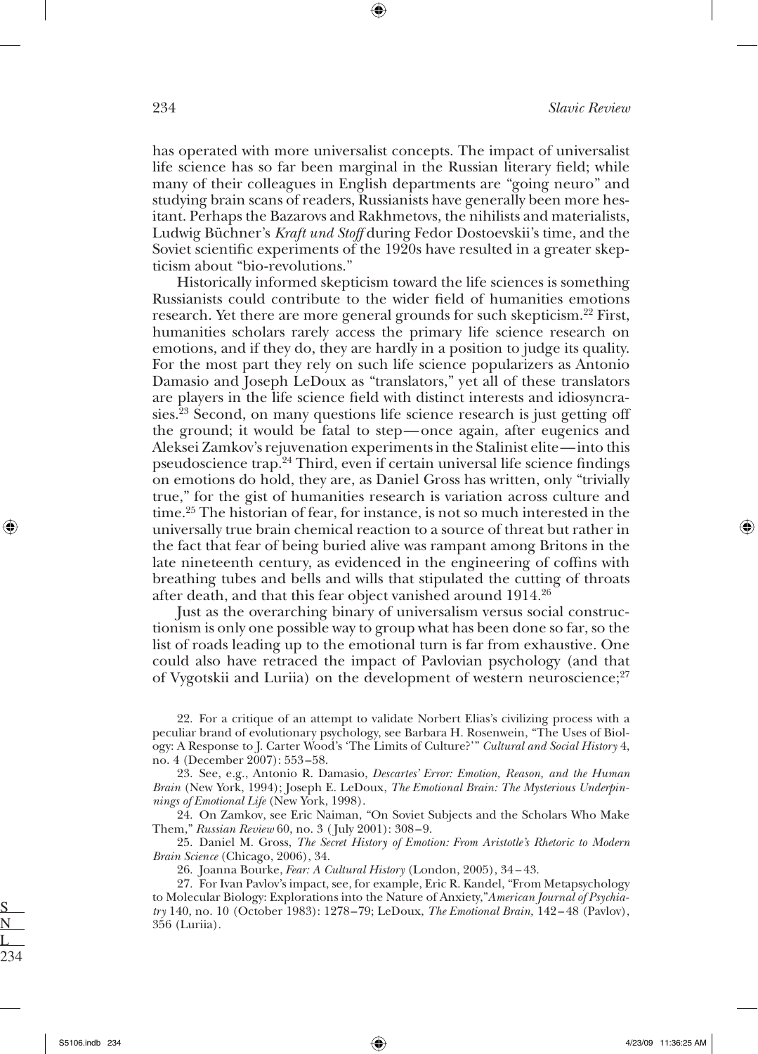has operated with more universalist concepts. The impact of universalist life science has so far been marginal in the Russian literary field; while many of their colleagues in English departments are "going neuro" and studying brain scans of readers, Russianists have generally been more hesitant. Perhaps the Bazarovs and Rakhmetovs, the nihilists and materialists, Ludwig Büchner's *Kraft und Stoff* during Fedor Dostoevskii's time, and the Soviet scientific experiments of the 1920s have resulted in a greater skepticism about "bio-revolutions."

⊕

Historically informed skepticism toward the life sciences is something Russianists could contribute to the wider field of humanities emotions research. Yet there are more general grounds for such skepticism.<sup>22</sup> First, humanities scholars rarely access the primary life science research on emotions, and if they do, they are hardly in a position to judge its quality. For the most part they rely on such life science popularizers as Antonio Damasio and Joseph LeDoux as "translators," yet all of these translators are players in the life science field with distinct interests and idiosyncrasies.<sup>23</sup> Second, on many questions life science research is just getting off the ground; it would be fatal to step— once again, after eugenics and Aleksei Zamkov's rejuvenation experiments in the Stalinist elite—into this pseudoscience trap.<sup>24</sup> Third, even if certain universal life science findings on emotions do hold, they are, as Daniel Gross has written, only "trivially true," for the gist of humanities research is variation across culture and time.25 The historian of fear, for instance, is not so much interested in the universally true brain chemical reaction to a source of threat but rather in the fact that fear of being buried alive was rampant among Britons in the late nineteenth century, as evidenced in the engineering of coffins with breathing tubes and bells and wills that stipulated the cutting of throats after death, and that this fear object vanished around 1914.26

Just as the overarching binary of universalism versus social constructionism is only one possible way to group what has been done so far, so the list of roads leading up to the emotional turn is far from exhaustive. One could also have retraced the impact of Pavlovian psychology (and that of Vygotskii and Luriia) on the development of western neuroscience;<sup>27</sup>

22. For a critique of an attempt to validate Norbert Elias's civilizing process with a peculiar brand of evolutionary psychology, see Barbara H. Rosenwein, "The Uses of Biology: A Response to J. Carter Wood's 'The Limits of Culture?' " *Cultural and Social History* 4, no. 4 (December 2007): 553 –58.

23. See, e.g., Antonio R. Damasio, *Descartes' Error: Emotion, Reason, and the Human Brain* (New York, 1994); Joseph E. LeDoux, *The Emotional Brain: The Mysterious Underpinnings of Emotional Life* (New York, 1998).

24. On Zamkov, see Eric Naiman, "On Soviet Subjects and the Scholars Who Make Them," *Russian Review* 60, no. 3 ( July 2001): 308–9.

25. Daniel M. Gross, *The Secret History of Emotion: From Aristotle's Rhetoric to Modern Brain Science* (Chicago, 2006), 34.

26. Joanna Bourke, *Fear: A Cultural History* (London, 2005), 34 – 43.

27. For Ivan Pavlov's impact, see, for example, Eric R. Kandel, "From Metapsychology to Molecular Biology: Explorations into the Nature of Anxiety,"*American Journal of Psychiatry* 140, no. 10 (October 1983): 1278–79; LeDoux, *The Emotional Brain,* 142– 48 (Pavlov), 356 (Luriia).

S N L 234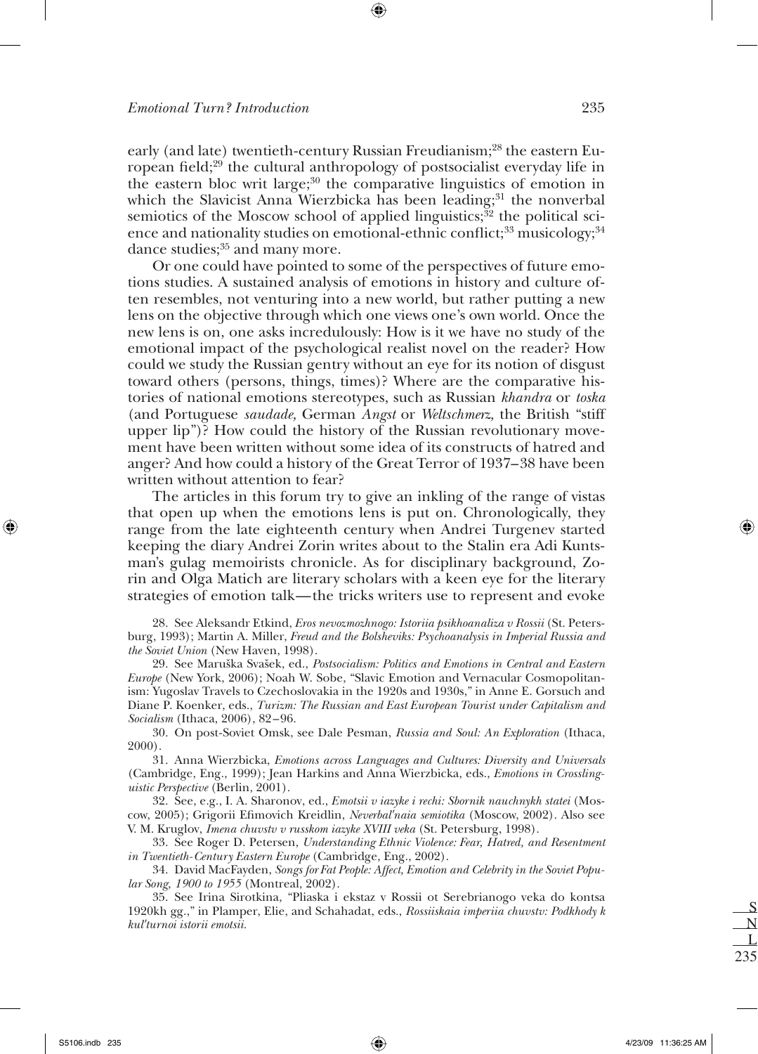early (and late) twentieth-century Russian Freudianism;<sup>28</sup> the eastern European field; $29$  the cultural anthropology of postsocialist everyday life in the eastern bloc writ large; $30$  the comparative linguistics of emotion in which the Slavicist Anna Wierzbicka has been leading;<sup>31</sup> the nonverbal semiotics of the Moscow school of applied linguistics;<sup>32</sup> the political science and nationality studies on emotional-ethnic conflict;<sup>33</sup> musicology;<sup>34</sup> dance studies;<sup>35</sup> and many more.

⊕

Or one could have pointed to some of the perspectives of future emotions studies. A sustained analysis of emotions in history and culture often resembles, not venturing into a new world, but rather putting a new lens on the objective through which one views one's own world. Once the new lens is on, one asks incredulously: How is it we have no study of the emotional impact of the psychological realist novel on the reader? How could we study the Russian gentry without an eye for its notion of disgust toward others (persons, things, times)? Where are the comparative histories of national emotions stereotypes, such as Russian *khandra* or *toska* (and Portuguese *saudade,* German *Angst* or *Weltschmerz,* the British "stiff upper lip")? How could the history of the Russian revolutionary movement have been written without some idea of its constructs of hatred and anger? And how could a history of the Great Terror of 1937–38 have been written without attention to fear?

The articles in this forum try to give an inkling of the range of vistas that open up when the emotions lens is put on. Chronologically, they range from the late eighteenth century when Andrei Turgenev started keeping the diary Andrei Zorin writes about to the Stalin era Adi Kuntsman's gulag memoirists chronicle. As for disciplinary background, Zorin and Olga Matich are literary scholars with a keen eye for the literary strategies of emotion talk—the tricks writers use to represent and evoke

28. See Aleksandr Etkind, *Eros nevozmozhnogo: Istoriia psikhoanaliza v Rossii* (St. Petersburg, 1993); Martin A. Miller, *Freud and the Bolsheviks: Psychoanalysis in Imperial Russia and the Soviet Union* (New Haven, 1998).

29. See Maruška Svašek, ed., *Postsocialism: Politics and Emotions in Central and Eastern Europe* (New York, 2006); Noah W. Sobe, "Slavic Emotion and Vernacular Cosmopolitanism: Yugoslav Travels to Czechoslovakia in the 1920s and 1930s," in Anne E. Gorsuch and Diane P. Koenker, eds., *Turizm: The Russian and East European Tourist under Capitalism and Socialism* (Ithaca, 2006), 82–96.

30. On post-Soviet Omsk, see Dale Pesman, *Russia and Soul: An Exploration* (Ithaca, 2000).

31. Anna Wierzbicka, *Emotions across Languages and Cultures: Diversity and Universals* (Cambridge, Eng., 1999); Jean Harkins and Anna Wierzbicka, eds., *Emotions in Crosslinguistic Perspective* (Berlin, 2001).

32. See, e.g., I. A. Sharonov, ed., *Emotsii v iazyke i rechi: Sbornik nauchnykh statei* (Moscow, 2005); Grigorii Efimovich Kreidlin, *Neverbal'naia semiotika* (Moscow, 2002). Also see V. M. Kruglov, *Imena chuvstv v russkom iazyke XVIII veka* (St. Petersburg, 1998).

33. See Roger D. Petersen, *Understanding Ethnic Violence: Fear, Hatred, and Resentment in Twentieth-Century Eastern Europe* (Cambridge, Eng., 2002).

34. David MacFayden, *Songs for Fat People: Affect, Emotion and Celebrity in the Soviet Popular Song, 1900 to 1955* (Montreal, 2002).

35. See Irina Sirotkina, "Pliaska i ekstaz v Rossii ot Serebrianogo veka do kontsa 1920kh gg.," in Plamper, Elie, and Schahadat, eds., *Rossiiskaia imperiia chuvstv: Podkhody k kul*-*turnoi istorii emotsii.*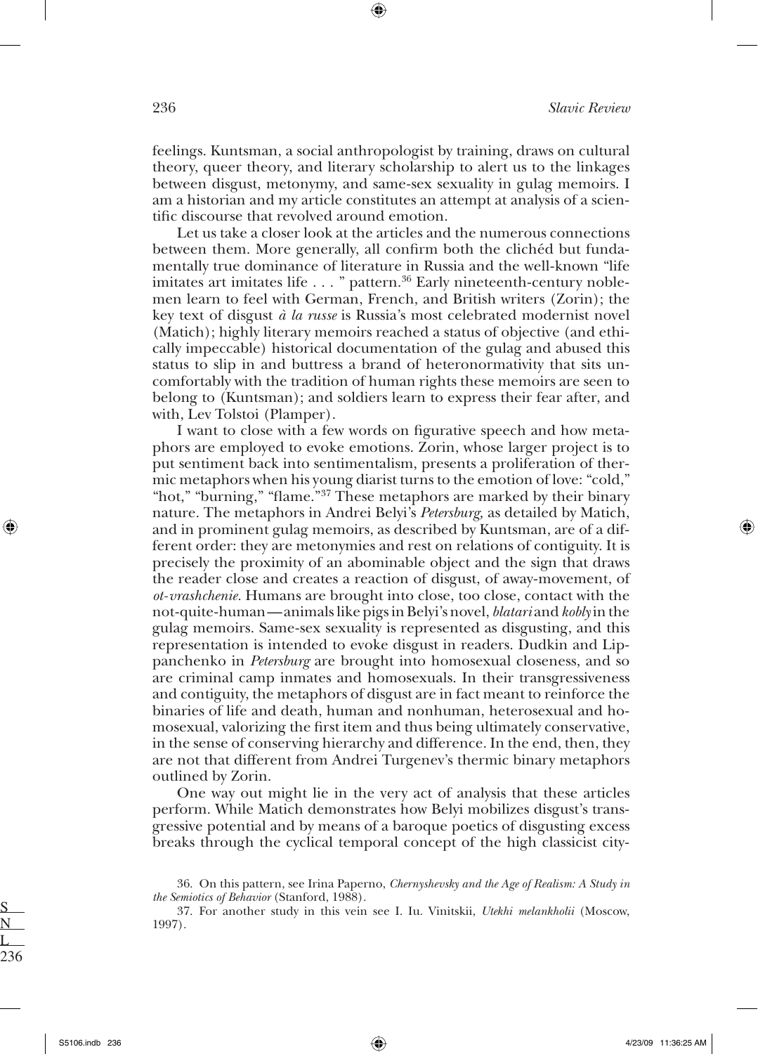feelings. Kuntsman, a social anthropologist by training, draws on cultural theory, queer theory, and literary scholarship to alert us to the linkages between disgust, metonymy, and same-sex sexuality in gulag memoirs. I am a historian and my article constitutes an attempt at analysis of a scientific discourse that revolved around emotion.

⊕

Let us take a closer look at the articles and the numerous connections between them. More generally, all confirm both the clichéd but fundamentally true dominance of literature in Russia and the well-known "life imitates art imitates life . . . " pattern.<sup>36</sup> Early nineteenth-century noblemen learn to feel with German, French, and British writers (Zorin); the key text of disgust *à la russe* is Russia's most celebrated modernist novel (Matich); highly literary memoirs reached a status of objective (and ethically impeccable) historical documentation of the gulag and abused this status to slip in and buttress a brand of heteronormativity that sits uncomfortably with the tradition of human rights these memoirs are seen to belong to (Kuntsman); and soldiers learn to express their fear after, and with, Lev Tolstoi (Plamper).

I want to close with a few words on figurative speech and how metaphors are employed to evoke emotions. Zorin, whose larger project is to put sentiment back into sentimentalism, presents a proliferation of thermic metaphors when his young diarist turns to the emotion of love: "cold," "hot," "burning," "flame."<sup>37</sup> These metaphors are marked by their binary nature. The metaphors in Andrei Belyi's *Petersburg,* as detailed by Matich, and in prominent gulag memoirs, as described by Kuntsman, are of a different order: they are metonymies and rest on relations of contiguity. It is precisely the proximity of an abominable object and the sign that draws the reader close and creates a reaction of disgust, of away-movement, of *ot-vrashchenie.* Humans are brought into close, too close, contact with the not-quite-human—animals like pigs in Belyi's novel, *blatari* and *kobly* in the gulag memoirs. Same-sex sexuality is represented as disgusting, and this representation is intended to evoke disgust in readers. Dudkin and Lippanchenko in *Petersburg* are brought into homosexual closeness, and so are criminal camp inmates and homosexuals. In their transgressiveness and contiguity, the metaphors of disgust are in fact meant to reinforce the binaries of life and death, human and nonhuman, heterosexual and homosexual, valorizing the first item and thus being ultimately conservative, in the sense of conserving hierarchy and difference. In the end, then, they are not that different from Andrei Turgenev's thermic binary metaphors outlined by Zorin.

One way out might lie in the very act of analysis that these articles perform. While Matich demonstrates how Belyi mobilizes disgust's transgressive potential and by means of a baroque poetics of disgusting excess breaks through the cyclical temporal concept of the high classicist city-

37. For another study in this vein see I. Iu. Vinitskii, *Utekhi melankholii* (Moscow, 1997).

<sup>36.</sup> On this pattern, see Irina Paperno, *Chernyshevsky and the Age of Realism: A Study in the Semiotics of Behavior* (Stanford, 1988).